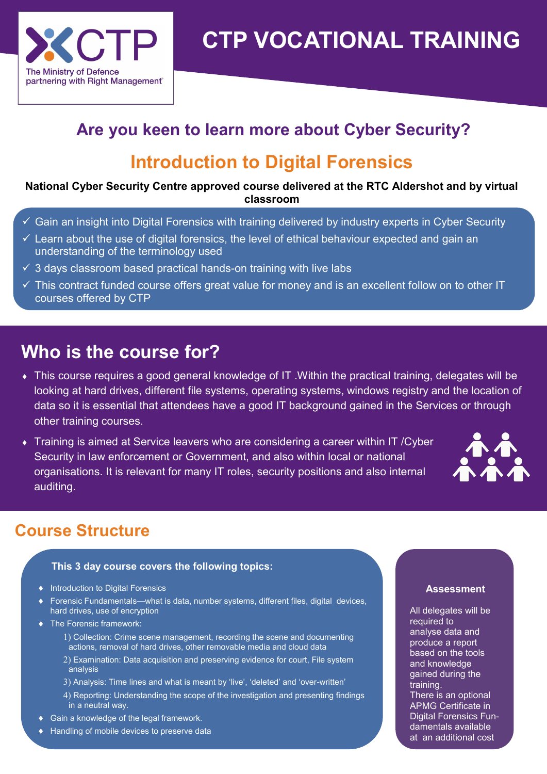

# **CTP VOCATIONAL TRAINING**

# **Are you keen to learn more about Cyber Security?**

# **Introduction to Digital Forensics**

#### **National Cyber Security Centre approved course delivered at the RTC Aldershot and by virtual classroom**

- $\checkmark$  Gain an insight into Digital Forensics with training delivered by industry experts in Cyber Security
- $\checkmark$  Learn about the use of digital forensics, the level of ethical behaviour expected and gain an understanding of the terminology used
- $\checkmark$  3 days classroom based practical hands-on training with live labs
- $\checkmark$  This contract funded course offers great value for money and is an excellent follow on to other IT courses offered by CTP

# **Who is the course for?**

- This course requires a good general knowledge of IT .Within the practical training, delegates will be looking at hard drives, different file systems, operating systems, windows registry and the location of data so it is essential that attendees have a good IT background gained in the Services or through other training courses.
- Training is aimed at Service leavers who are considering a career within IT /Cyber Security in law enforcement or Government, and also within local or national organisations. It is relevant for many IT roles, security positions and also internal auditing.



### **Course Structure**

#### **This 3 day course covers the following topics:**

- $\bullet$  Introduction to Digital Forensics
- ◆ Forensic Fundamentals—what is data, number systems, different files, digital devices, hard drives, use of encryption
- ◆ The Forensic framework:
	- Collection: Crime scene management, recording the scene and documenting actions, removal of hard drives, other removable media and cloud data
	- Examination: Data acquisition and preserving evidence for court, File system analysis
	- 3) Analysis: Time lines and what is meant by 'live', 'deleted' and 'over-written'
	- 4) Reporting: Understanding the scope of the investigation and presenting findings in a neutral way.
- Gain a knowledge of the legal framework.
- ◆ Handling of mobile devices to preserve data

#### **Assessment**

All delegates will be required to analyse data and produce a report based on the tools and knowledge gained during the training. There is an optional APMG Certificate in Digital Forensics Fundamentals available at an additional cost